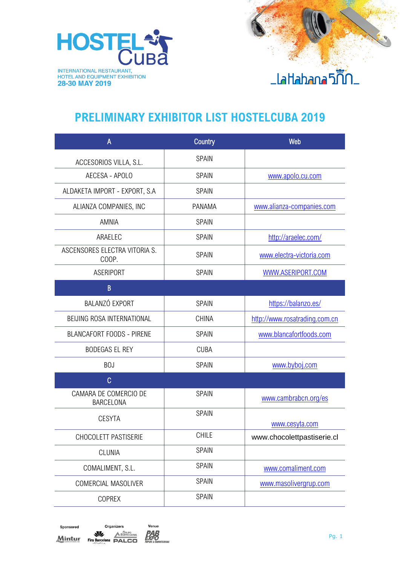

#### **PRELIMINARY EXHIBITOR LIST HOSTELCUBA 2019**

| A                                      | Country      | Web                           |
|----------------------------------------|--------------|-------------------------------|
| ACCESORIOS VILLA, S.L.                 | SPAIN        |                               |
| AECESA - APOLO                         | <b>SPAIN</b> | www.apolo.cu.com              |
| ALDAKETA IMPORT - EXPORT, S.A          | SPAIN        |                               |
| ALIANZA COMPANIES, INC                 | PANAMA       | www.alianza-companies.com     |
| <b>AMNIA</b>                           | <b>SPAIN</b> |                               |
| ARAELEC                                | <b>SPAIN</b> | http://araelec.com/           |
| ASCENSORES ELECTRA VITORIA S.<br>COOP. | <b>SPAIN</b> | www.electra-victoria.com      |
| ASERIPORT                              | <b>SPAIN</b> | WWW.ASERIPORT.COM             |
| B                                      |              |                               |
| BALANZÓ EXPORT                         | SPAIN        | https://balanzo.es/           |
| BEIJING ROSA INTERNATIONAL             | <b>CHINA</b> | http://www.rosatrading.com.cn |
| <b>BLANCAFORT FOODS - PIRENE</b>       | SPAIN        | www.blancafortfoods.com       |
| <b>BODEGAS EL REY</b>                  | <b>CUBA</b>  |                               |
| <b>BOJ</b>                             | <b>SPAIN</b> | www.byboj.com                 |
| C                                      |              |                               |
| CAMARA DE COMERCIO DE<br>BARCELONA     | <b>SPAIN</b> | www.cambrabcn.org/es          |
| <b>CESYTA</b>                          | <b>SPAIN</b> | www.cesyta.com                |
| CHOCOLETT PASTISERIE                   | <b>CHILE</b> | www.chocolettpastiserie.cl    |
| <b>CLUNIA</b>                          | SPAIN        |                               |
| COMALIMENT, S.L.                       | SPAIN        | www.comaliment.com            |
| COMERCIAL MASOLIVER                    | SPAIN        | www.masolivergrup.com         |
| <b>COPREX</b>                          | SPAIN        |                               |

Sponsored Organizers **WEIGHT A DESPRESS PROPERTY A EMPRESARIAL Mintur** 

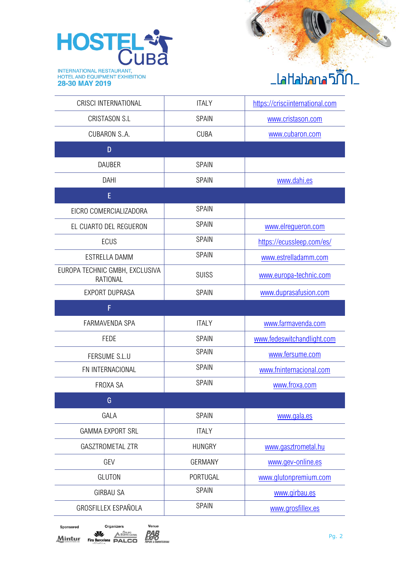

#### <u>\_laHahana5ก็กั</u>

| <b>CRISCI INTERNATIONAL</b>                       | <b>ITALY</b>   | https://crisciinternational.com |
|---------------------------------------------------|----------------|---------------------------------|
| <b>CRISTASON S.L</b>                              | <b>SPAIN</b>   | www.cristason.com               |
| <b>CUBARON S.A.</b>                               | <b>CUBA</b>    | www.cubaron.com                 |
| D                                                 |                |                                 |
| <b>DAUBER</b>                                     | <b>SPAIN</b>   |                                 |
| <b>DAHI</b>                                       | <b>SPAIN</b>   | www.dahi.es                     |
| E                                                 |                |                                 |
| EICRO COMERCIALIZADORA                            | <b>SPAIN</b>   |                                 |
| EL CUARTO DEL REGUERON                            | <b>SPAIN</b>   | www.elrequeron.com              |
| <b>ECUS</b>                                       | <b>SPAIN</b>   | https://ecussleep.com/es/       |
| ESTRELLA DAMM                                     | <b>SPAIN</b>   | www.estrelladamm.com            |
| EUROPA TECHNIC GMBH, EXCLUSIVA<br><b>RATIONAL</b> | <b>SUISS</b>   | www.europa-technic.com          |
| <b>EXPORT DUPRASA</b>                             | <b>SPAIN</b>   | www.duprasafusion.com           |
| F                                                 |                |                                 |
| FARMAVENDA SPA                                    | <b>ITALY</b>   | www.farmavenda.com              |
| <b>FEDE</b>                                       | <b>SPAIN</b>   | www.fedeswitchandlight.com      |
| FERSUME S.L.U                                     | <b>SPAIN</b>   | www.fersume.com                 |
| FN INTERNACIONAL                                  | <b>SPAIN</b>   | www.fninternacional.com         |
| FROXA SA                                          | SPAIN          | www.froxa.com                   |
| G                                                 |                |                                 |
| GALA                                              | SPAIN          | www.gala.es                     |
| <b>GAMMA EXPORT SRL</b>                           | <b>ITALY</b>   |                                 |
| <b>GASZTROMETAL ZTR</b>                           | <b>HUNGRY</b>  | www.gasztrometal.hu             |
| GEV                                               | <b>GERMANY</b> | www.gev-online.es               |
| <b>GLUTON</b>                                     | PORTUGAL       | www.glutonpremium.com           |
| <b>GIRBAU SA</b>                                  | <b>SPAIN</b>   | www.girbau.es                   |
| GROSFILLEX ESPAÑOLA                               | SPAIN          | www.grosfillex.es               |

| Sponsored | Organizers                             |                                |
|-----------|----------------------------------------|--------------------------------|
| Mintur    | <b>Fira Barcelona</b><br>INTERNATIONAL | EGRUPO<br>EMPRESARIAL<br>PALCO |

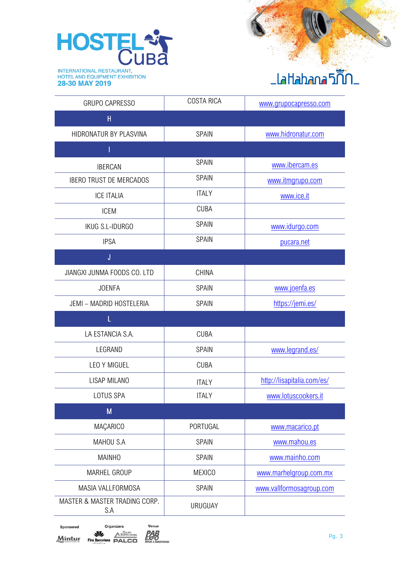

## <u>\_laHahana5ฏิ๊ก\_</u>

| <b>GRUPO CAPRESSO</b>                | <b>COSTA RICA</b> | www.grupocapresso.com      |
|--------------------------------------|-------------------|----------------------------|
| н                                    |                   |                            |
| HIDRONATUR BY PLASVINA               | <b>SPAIN</b>      | www.hidronatur.com         |
| Ī                                    |                   |                            |
| <b>IBERCAN</b>                       | <b>SPAIN</b>      | www.ibercam.es             |
| <b>IBERO TRUST DE MERCADOS</b>       | <b>SPAIN</b>      | www.itmgrupo.com           |
| <b>ICE ITALIA</b>                    | <b>ITALY</b>      | www.ice.it                 |
| <b>ICEM</b>                          | <b>CUBA</b>       |                            |
| IKUG S.L-IDURGO                      | SPAIN             | www.idurgo.com             |
| <b>IPSA</b>                          | <b>SPAIN</b>      | pucara.net                 |
| J                                    |                   |                            |
| JIANGXI JUNMA FOODS CO. LTD          | <b>CHINA</b>      |                            |
| <b>JOENFA</b>                        | <b>SPAIN</b>      | www.joenfa.es              |
| JEMI - MADRID HOSTELERIA             | SPAIN             | https://jemi.es/           |
| Ĺ                                    |                   |                            |
| LA ESTANCIA S.A.                     | <b>CUBA</b>       |                            |
| LEGRAND                              | <b>SPAIN</b>      | www.legrand.es/            |
| LEO Y MIGUEL                         | <b>CUBA</b>       |                            |
| LISAP MILANO                         | <b>ITALY</b>      | http://lisapitalia.com/es/ |
| LOTUS SPA                            | <b>ITALY</b>      | www.lotuscookers.it        |
| M                                    |                   |                            |
| MAÇARICO                             | PORTUGAL          | www.macarico.pt            |
| MAHOU S.A                            | SPAIN             | www.mahou.es               |
| <b>MAINHO</b>                        | <b>SPAIN</b>      | www.mainho.com             |
| <b>MARHEL GROUP</b>                  | <b>MEXICO</b>     | www.marhelgroup.com.mx     |
| MASIA VALLFORMOSA                    | SPAIN             | www.vallformosagroup.com   |
| MASTER & MASTER TRADING CORP.<br>S.A | <b>URUGUAY</b>    |                            |

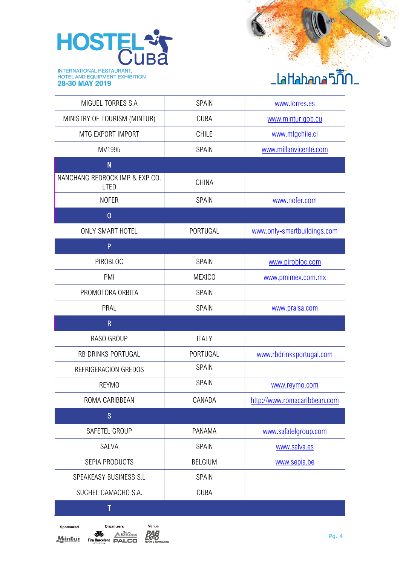

## \_laHahana5ก็ก

| MIGUEL TORRES S.A                      | SPAIN          | www.torres.es                |
|----------------------------------------|----------------|------------------------------|
| MINISTRY OF TOURISM (MINTUR)           | <b>CUBA</b>    | www.mintur.gob.cu            |
| MTG EXPORT IMPORT                      | <b>CHILE</b>   | www.mtgchile.cl              |
| MV1995                                 | SPAIN          | www.millanvicente.com        |
| N                                      |                |                              |
| NANCHANG REDROCK IMP & EXP CO.<br>LTED | <b>CHINA</b>   |                              |
| <b>NOFER</b>                           | SPAIN          | www.nofer.com                |
| $\overline{0}$                         |                |                              |
| ONLY SMART HOTEL                       | PORTUGAL       | www.only-smartbuildings.com  |
| P                                      |                |                              |
| PIROBLOC                               | <b>SPAIN</b>   | www.pirobloc.com             |
| PMI                                    | <b>MEXICO</b>  | www.pmimex.com.mx            |
| PROMOTORA ORBITA                       | SPAIN          |                              |
| PRAL                                   | SPAIN          | www.pralsa.com               |
| $\overline{\mathsf{R}}$                |                |                              |
| RASO GROUP                             | <b>ITALY</b>   |                              |
| RB DRINKS PORTUGAL                     | PORTUGAL       | www.rbdrinksportugal.com     |
| REFRIGERACION GREDOS                   | SPAIN          |                              |
| <b>REYMO</b>                           | SPAIN          | www.reymo.com                |
| ROMA CARIBBEAN                         | CANADA         | http://www.romacaribbean.com |
| $\mathsf{S}$                           |                |                              |
| SAFETEL GROUP                          | PANAMA         | www.safatelgroup.com         |
| SALVA                                  | SPAIN          | www.salva.es                 |
| SEPIA PRODUCTS                         | <b>BELGIUM</b> | www.sepia.be                 |
| SPEAKEASY BUSINESS S.L                 | <b>SPAIN</b>   |                              |
| SUCHEL CAMACHO S.A.                    | <b>CUBA</b>    |                              |
|                                        |                |                              |

Sponsored **Mintur**